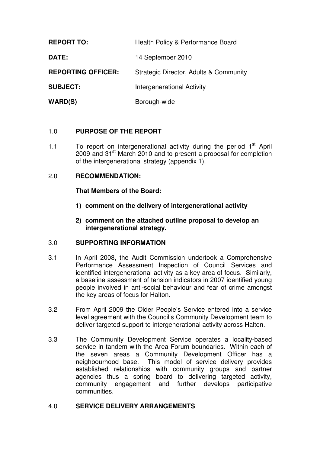| <b>REPORT TO:</b>         | Health Policy & Performance Board      |
|---------------------------|----------------------------------------|
| DATE:                     | 14 September 2010                      |
| <b>REPORTING OFFICER:</b> | Strategic Director, Adults & Community |
| <b>SUBJECT:</b>           | <b>Intergenerational Activity</b>      |
| <b>WARD(S)</b>            | Borough-wide                           |

## 1.0 **PURPOSE OF THE REPORT**

1.1 To report on intergenerational activity during the period  $1<sup>st</sup>$  April 2009 and 31<sup>st</sup> March 2010 and to present a proposal for completion of the intergenerational strategy (appendix 1).

## 2.0 **RECOMMENDATION:**

**That Members of the Board:** 

- **1) comment on the delivery of intergenerational activity**
- **2) comment on the attached outline proposal to develop an intergenerational strategy.**

# 3.0 **SUPPORTING INFORMATION**

- 3.1 In April 2008, the Audit Commission undertook a Comprehensive Performance Assessment Inspection of Council Services and identified intergenerational activity as a key area of focus. Similarly, a baseline assessment of tension indicators in 2007 identified young people involved in anti-social behaviour and fear of crime amongst the key areas of focus for Halton.
- 3.2 From April 2009 the Older People's Service entered into a service level agreement with the Council's Community Development team to deliver targeted support to intergenerational activity across Halton.
- 3.3 The Community Development Service operates a locality-based service in tandem with the Area Forum boundaries. Within each of the seven areas a Community Development Officer has a neighbourhood base. This model of service delivery provides established relationships with community groups and partner agencies thus a spring board to delivering targeted activity, community engagement and further develops participative communities.

## 4.0 **SERVICE DELIVERY ARRANGEMENTS**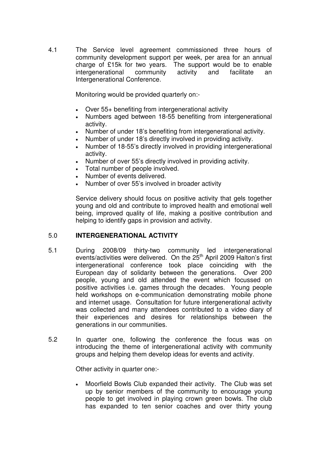4.1 The Service level agreement commissioned three hours of community development support per week, per area for an annual charge of £15k for two years. The support would be to enable intergenerational community activity and facilitate an Intergenerational Conference.

Monitoring would be provided quarterly on:-

- Over 55+ benefiting from intergenerational activity
- Numbers aged between 18-55 benefiting from intergenerational activity.
- Number of under 18's benefiting from intergenerational activity.
- Number of under 18's directly involved in providing activity.
- Number of 18-55's directly involved in providing intergenerational activity.
- Number of over 55's directly involved in providing activity.
- Total number of people involved.
- Number of events delivered.
- Number of over 55's involved in broader activity

Service delivery should focus on positive activity that gels together young and old and contribute to improved health and emotional well being, improved quality of life, making a positive contribution and helping to identify gaps in provision and activity.

## 5.0 **INTERGENERATIONAL ACTIVITY**

- 5.1 During 2008/09 thirty-two community led intergenerational events/activities were delivered. On the 25th April 2009 Halton's first intergenerational conference took place coinciding with the European day of solidarity between the generations. Over 200 people, young and old attended the event which focussed on positive activities i.e. games through the decades. Young people held workshops on e-communication demonstrating mobile phone and internet usage. Consultation for future intergenerational activity was collected and many attendees contributed to a video diary of their experiences and desires for relationships between the generations in our communities.
- 5.2 In quarter one, following the conference the focus was on introducing the theme of intergenerational activity with community groups and helping them develop ideas for events and activity.

Other activity in quarter one:-

• Moorfield Bowls Club expanded their activity. The Club was set up by senior members of the community to encourage young people to get involved in playing crown green bowls. The club has expanded to ten senior coaches and over thirty young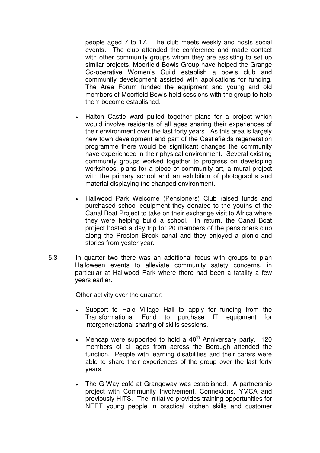people aged 7 to 17. The club meets weekly and hosts social events. The club attended the conference and made contact with other community groups whom they are assisting to set up similar projects. Moorfield Bowls Group have helped the Grange Co-operative Women's Guild establish a bowls club and community development assisted with applications for funding. The Area Forum funded the equipment and young and old members of Moorfield Bowls held sessions with the group to help them become established.

- Halton Castle ward pulled together plans for a project which would involve residents of all ages sharing their experiences of their environment over the last forty years. As this area is largely new town development and part of the Castlefields regeneration programme there would be significant changes the community have experienced in their physical environment. Several existing community groups worked together to progress on developing workshops, plans for a piece of community art, a mural project with the primary school and an exhibition of photographs and material displaying the changed environment.
- Hallwood Park Welcome (Pensioners) Club raised funds and purchased school equipment they donated to the youths of the Canal Boat Project to take on their exchange visit to Africa where they were helping build a school. In return, the Canal Boat project hosted a day trip for 20 members of the pensioners club along the Preston Brook canal and they enjoyed a picnic and stories from yester year.
- 5.3 In quarter two there was an additional focus with groups to plan Halloween events to alleviate community safety concerns, in particular at Hallwood Park where there had been a fatality a few years earlier.

Other activity over the quarter:-

- Support to Hale Village Hall to apply for funding from the Transformational Fund to purchase IT equipment for purchase IT equipment for intergenerational sharing of skills sessions.
- Mencap were supported to hold a  $40<sup>th</sup>$  Anniversary party. 120 members of all ages from across the Borough attended the function. People with learning disabilities and their carers were able to share their experiences of the group over the last forty years.
- The G-Way café at Grangeway was established. A partnership project with Community Involvement, Connexions, YMCA and previously HITS. The initiative provides training opportunities for NEET young people in practical kitchen skills and customer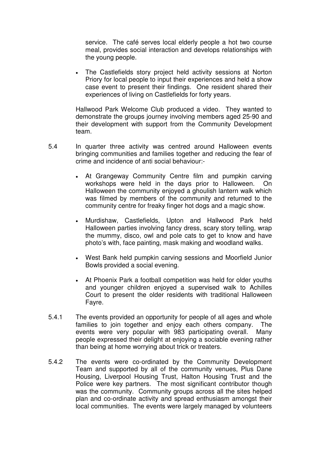service. The café serves local elderly people a hot two course meal, provides social interaction and develops relationships with the young people.

• The Castlefields story project held activity sessions at Norton Priory for local people to input their experiences and held a show case event to present their findings. One resident shared their experiences of living on Castlefields for forty years.

Hallwood Park Welcome Club produced a video. They wanted to demonstrate the groups journey involving members aged 25-90 and their development with support from the Community Development team.

- 5.4 In quarter three activity was centred around Halloween events bringing communities and families together and reducing the fear of crime and incidence of anti social behaviour:-
	- At Grangeway Community Centre film and pumpkin carving workshops were held in the days prior to Halloween. On Halloween the community enjoyed a ghoulish lantern walk which was filmed by members of the community and returned to the community centre for freaky finger hot dogs and a magic show.
	- Murdishaw, Castlefields, Upton and Hallwood Park held Halloween parties involving fancy dress, scary story telling, wrap the mummy, disco, owl and pole cats to get to know and have photo's with, face painting, mask making and woodland walks.
	- West Bank held pumpkin carving sessions and Moorfield Junior Bowls provided a social evening.
	- At Phoenix Park a football competition was held for older youths and younger children enjoyed a supervised walk to Achilles Court to present the older residents with traditional Halloween Fayre.
- 5.4.1 The events provided an opportunity for people of all ages and whole families to join together and enjoy each others company. The events were very popular with 983 participating overall. Many people expressed their delight at enjoying a sociable evening rather than being at home worrying about trick or treaters.
- 5.4.2 The events were co-ordinated by the Community Development Team and supported by all of the community venues, Plus Dane Housing, Liverpool Housing Trust, Halton Housing Trust and the Police were key partners. The most significant contributor though was the community. Community groups across all the sites helped plan and co-ordinate activity and spread enthusiasm amongst their local communities. The events were largely managed by volunteers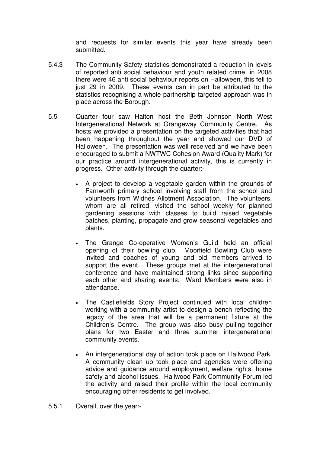and requests for similar events this year have already been submitted.

- 5.4.3 The Community Safety statistics demonstrated a reduction in levels of reported anti social behaviour and youth related crime, in 2008 there were 46 anti social behaviour reports on Halloween, this fell to just 29 in 2009. These events can in part be attributed to the statistics recognising a whole partnership targeted approach was in place across the Borough.
- 5.5 Quarter four saw Halton host the Beth Johnson North West Intergenerational Network at Grangeway Community Centre. As hosts we provided a presentation on the targeted activities that had been happening throughout the year and showed our DVD of Halloween. The presentation was well received and we have been encouraged to submit a NWTWC Cohesion Award (Quality Mark) for our practice around intergenerational activity, this is currently in progress. Other activity through the quarter:-
	- A project to develop a vegetable garden within the grounds of Farnworth primary school involving staff from the school and volunteers from Widnes Allotment Association. The volunteers, whom are all retired, visited the school weekly for planned gardening sessions with classes to build raised vegetable patches, planting, propagate and grow seasonal vegetables and plants.
	- The Grange Co-operative Women's Guild held an official opening of their bowling club. Moorfield Bowling Club were invited and coaches of young and old members arrived to support the event. These groups met at the intergenerational conference and have maintained strong links since supporting each other and sharing events. Ward Members were also in attendance.
	- The Castlefields Story Project continued with local children working with a community artist to design a bench reflecting the legacy of the area that will be a permanent fixture at the Children's Centre. The group was also busy pulling together plans for two Easter and three summer intergenerational community events.
	- An intergenerational day of action took place on Hallwood Park. A community clean up took place and agencies were offering advice and guidance around employment, welfare rights, home safety and alcohol issues. Hallwood Park Community Forum led the activity and raised their profile within the local community encouraging other residents to get involved.

5.5.1 Overall, over the year:-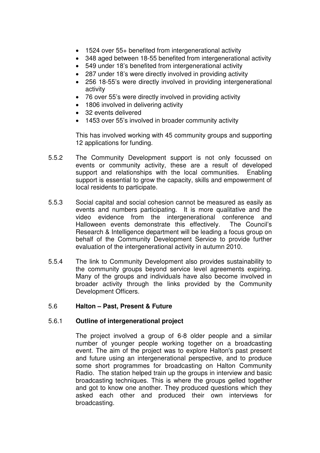- 1524 over 55+ benefited from intergenerational activity
- 348 aged between 18-55 benefited from intergenerational activity
- 549 under 18's benefited from intergenerational activity
- 287 under 18's were directly involved in providing activity
- 256 18-55's were directly involved in providing intergenerational activity
- 76 over 55's were directly involved in providing activity
- 1806 involved in delivering activity
- 32 events delivered
- 1453 over 55's involved in broader community activity

This has involved working with 45 community groups and supporting 12 applications for funding.

- 5.5.2 The Community Development support is not only focussed on events or community activity, these are a result of developed support and relationships with the local communities. Enabling support is essential to grow the capacity, skills and empowerment of local residents to participate.
- 5.5.3 Social capital and social cohesion cannot be measured as easily as events and numbers participating. It is more qualitative and the video evidence from the intergenerational conference and Halloween events demonstrate this effectively. The Council's Research & Intelligence department will be leading a focus group on behalf of the Community Development Service to provide further evaluation of the intergenerational activity in autumn 2010.
- 5.5.4 The link to Community Development also provides sustainability to the community groups beyond service level agreements expiring. Many of the groups and individuals have also become involved in broader activity through the links provided by the Community Development Officers.

#### 5.6 **Halton – Past, Present & Future**

#### 5.6.1 **Outline of intergenerational project**

The project involved a group of 6-8 older people and a similar number of younger people working together on a broadcasting event. The aim of the project was to explore Halton's past present and future using an intergenerational perspective, and to produce some short programmes for broadcasting on Halton Community Radio. The station helped train up the groups in interview and basic broadcasting techniques. This is where the groups gelled together and got to know one another. They produced questions which they asked each other and produced their own interviews for broadcasting.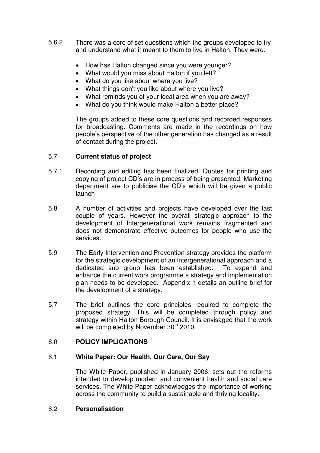- 5.6.2 There was a core of set questions which the groups developed to try and understand what it meant to them to live in Halton. They were:
	- How has Halton changed since you were younger?
	- What would you miss about Halton if you left?
	- What do you like about where you live?
	- What things don't you like about where you live?
	- What reminds you of your local area when you are away?
	- What do you think would make Halton a better place?

The groups added to these core questions and recorded responses for broadcasting. Comments are made in the recordings on how people's perspective of the other generation has changed as a result of contact during the project.

#### 5.7 **Current status of project**

- 5.7.1 Recording and editing has been finalized. Quotes for printing and copying of project CD's are in process of being presented. Marketing department are to publicise the CD's which will be given a public launch
- 5.8 A number of activities and projects have developed over the last couple of years. However the overall strategic approach to the development of Intergenerational work remains fragmented and does not demonstrate effective outcomes for people who use the services.
- 5.9 The Early Intervention and Prevention strategy provides the platform for the strategic development of an intergenerational approach and a dedicated sub group has been established. To expand and enhance the current work programme a strategy and implementation plan needs to be developed. Appendix 1 details an outline brief for the development of a strategy.
- 5.7 The brief outlines the core principles required to complete the proposed strategy. This will be completed through policy and strategy within Halton Borough Council. It is envisaged that the work will be completed by November  $30<sup>th</sup>$  2010.

# 6.0 **POLICY IMPLICATIONS**

### 6.1 **White Paper: Our Health, Our Care, Our Say**

The White Paper, published in January 2006, sets out the reforms intended to develop modern and convenient health and social care services. The White Paper acknowledges the importance of working across the community to build a sustainable and thriving locality.

### 6.2 **Personalisation**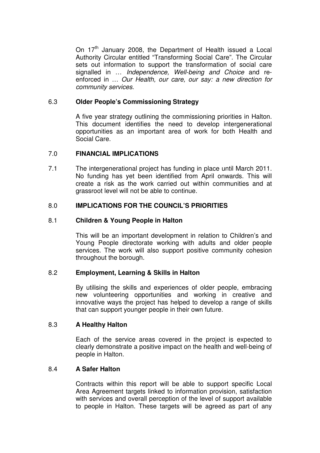On  $17<sup>th</sup>$  January 2008, the Department of Health issued a Local Authority Circular entitled "Transforming Social Care". The Circular sets out information to support the transformation of social care signalled in ... Independence, Well-being and Choice and reenforced in … Our Health, our care, our say: a new direction for community services.

## 6.3 **Older People's Commissioning Strategy**

A five year strategy outlining the commissioning priorities in Halton. This document identifies the need to develop intergenerational opportunities as an important area of work for both Health and Social Care.

## 7.0 **FINANCIAL IMPLICATIONS**

7.1 The intergenerational project has funding in place until March 2011. No funding has yet been identified from April onwards. This will create a risk as the work carried out within communities and at grassroot level will not be able to continue.

# 8.0 **IMPLICATIONS FOR THE COUNCIL'S PRIORITIES**

### 8.1 **Children & Young People in Halton**

This will be an important development in relation to Children's and Young People directorate working with adults and older people services. The work will also support positive community cohesion throughout the borough.

### 8.2 **Employment, Learning & Skills in Halton**

By utilising the skills and experiences of older people, embracing new volunteering opportunities and working in creative and innovative ways the project has helped to develop a range of skills that can support younger people in their own future.

### 8.3 **A Healthy Halton**

Each of the service areas covered in the project is expected to clearly demonstrate a positive impact on the health and well-being of people in Halton.

### 8.4 **A Safer Halton**

Contracts within this report will be able to support specific Local Area Agreement targets linked to information provision, satisfaction with services and overall perception of the level of support available to people in Halton. These targets will be agreed as part of any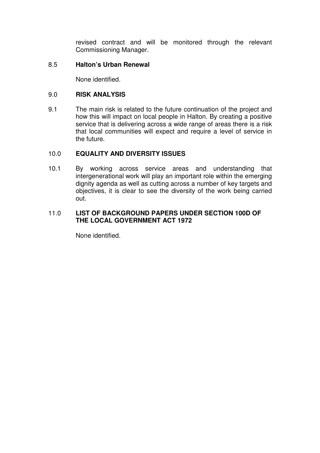revised contract and will be monitored through the relevant Commissioning Manager.

## 8.5 **Halton's Urban Renewal**

None identified.

## 9.0 **RISK ANALYSIS**

9.1 The main risk is related to the future continuation of the project and how this will impact on local people in Halton. By creating a positive service that is delivering across a wide range of areas there is a risk that local communities will expect and require a level of service in the future.

# 10.0 **EQUALITY AND DIVERSITY ISSUES**

10.1 By working across service areas and understanding that intergenerational work will play an important role within the emerging dignity agenda as well as cutting across a number of key targets and objectives, it is clear to see the diversity of the work being carried out.

## 11.0 **LIST OF BACKGROUND PAPERS UNDER SECTION 100D OF THE LOCAL GOVERNMENT ACT 1972**

None identified.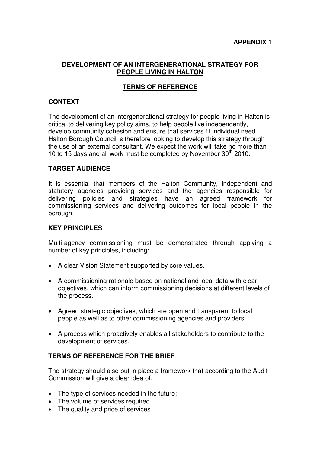# **DEVELOPMENT OF AN INTERGENERATIONAL STRATEGY FOR PEOPLE LIVING IN HALTON**

# **TERMS OF REFERENCE**

# **CONTEXT**

The development of an intergenerational strategy for people living in Halton is critical to delivering key policy aims, to help people live independently, develop community cohesion and ensure that services fit individual need. Halton Borough Council is therefore looking to develop this strategy through the use of an external consultant. We expect the work will take no more than 10 to 15 days and all work must be completed by November  $30<sup>th</sup>$  2010.

# **TARGET AUDIENCE**

It is essential that members of the Halton Community, independent and statutory agencies providing services and the agencies responsible for delivering policies and strategies have an agreed framework for commissioning services and delivering outcomes for local people in the borough.

# **KEY PRINCIPLES**

Multi-agency commissioning must be demonstrated through applying a number of key principles, including:

- A clear Vision Statement supported by core values.
- A commissioning rationale based on national and local data with clear objectives, which can inform commissioning decisions at different levels of the process.
- Agreed strategic objectives, which are open and transparent to local people as well as to other commissioning agencies and providers.
- A process which proactively enables all stakeholders to contribute to the development of services.

# **TERMS OF REFERENCE FOR THE BRIEF**

The strategy should also put in place a framework that according to the Audit Commission will give a clear idea of:

- The type of services needed in the future;
- The volume of services required
- The quality and price of services